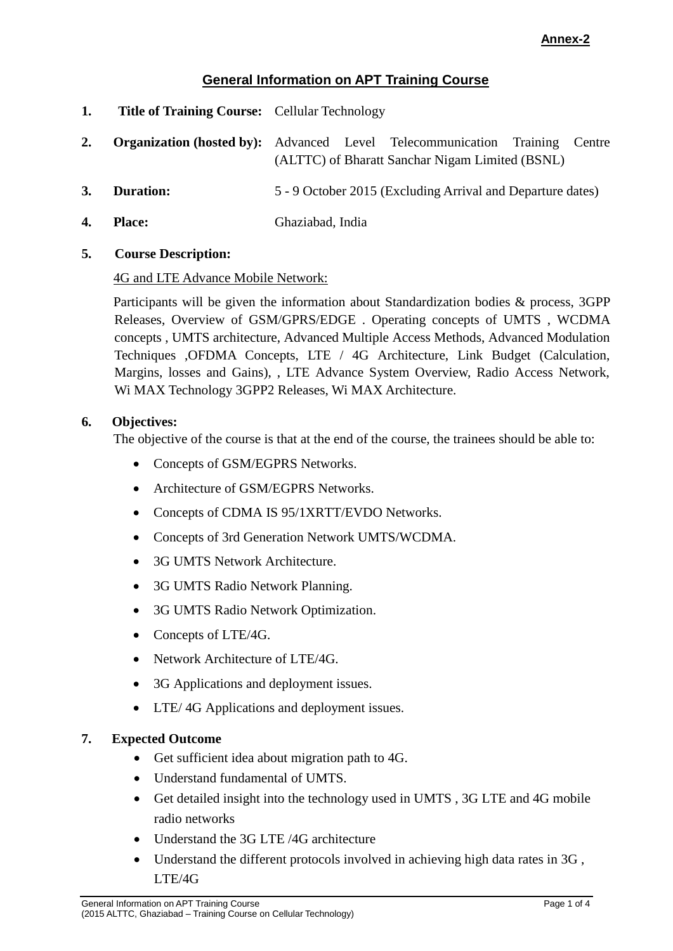# **Annex-2**

# **General Information on APT Training Course**

- **1. Title of Training Course:** Cellular Technology
- **2. Organization (hosted by):** Advanced Level Telecommunication Training Centre (ALTTC) of Bharatt Sanchar Nigam Limited (BSNL)
- **3. Duration:** 5 9 October 2015 (Excluding Arrival and Departure dates)
- **4. Place:** Ghaziabad, India
- **5. Course Description:**

### 4G and LTE Advance Mobile Network:

Participants will be given the information about Standardization bodies & process, 3GPP Releases, Overview of GSM/GPRS/EDGE . Operating concepts of UMTS , WCDMA concepts , UMTS architecture, Advanced Multiple Access Methods, Advanced Modulation Techniques ,OFDMA Concepts, LTE / 4G Architecture, Link Budget (Calculation, Margins, losses and Gains), , LTE Advance System Overview, Radio Access Network, Wi MAX Technology 3GPP2 Releases, Wi MAX Architecture.

### **6. Objectives:**

The objective of the course is that at the end of the course, the trainees should be able to:

- Concepts of GSM/EGPRS Networks.
- Architecture of GSM/EGPRS Networks.
- Concepts of CDMA IS 95/1XRTT/EVDO Networks.
- Concepts of 3rd Generation Network UMTS/WCDMA.
- 3G UMTS Network Architecture.
- 3G UMTS Radio Network Planning.
- 3G UMTS Radio Network Optimization.
- Concepts of LTE/4G.
- Network Architecture of LTE/4G.
- 3G Applications and deployment issues.
- LTE/4G Applications and deployment issues.

### **7. Expected Outcome**

- Get sufficient idea about migration path to 4G.
- Understand fundamental of UMTS.
- Get detailed insight into the technology used in UMTS , 3G LTE and 4G mobile radio networks
- Understand the 3G LTE /4G architecture
- Understand the different protocols involved in achieving high data rates in  $3G$ , LTE/4G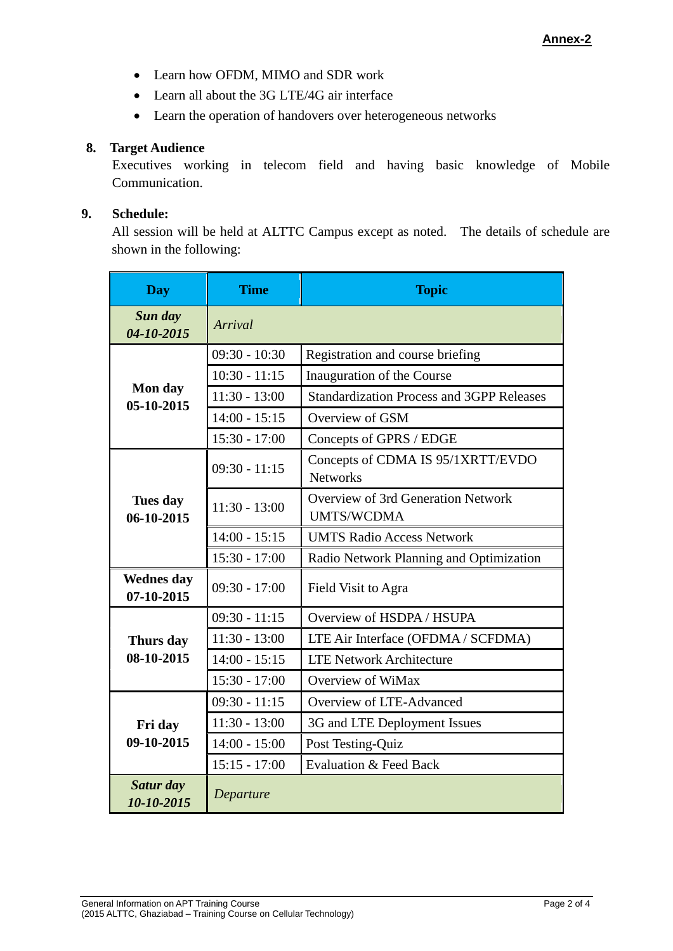- Learn how OFDM, MIMO and SDR work
- Learn all about the 3G LTE/4G air interface
- Learn the operation of handovers over heterogeneous networks

### **8. Target Audience**

Executives working in telecom field and having basic knowledge of Mobile Communication.

### **9. Schedule:**

All session will be held at ALTTC Campus except as noted. The details of schedule are shown in the following:

| <b>Day</b>                      | <b>Time</b>     | <b>Topic</b>                                                   |
|---------------------------------|-----------------|----------------------------------------------------------------|
| Sun day<br>04-10-2015           | Arrival         |                                                                |
| Mon day<br>05-10-2015           | $09:30 - 10:30$ | Registration and course briefing                               |
|                                 | $10:30 - 11:15$ | Inauguration of the Course                                     |
|                                 | $11:30 - 13:00$ | <b>Standardization Process and 3GPP Releases</b>               |
|                                 | $14:00 - 15:15$ | Overview of GSM                                                |
|                                 | $15:30 - 17:00$ | Concepts of GPRS / EDGE                                        |
| <b>Tues day</b><br>06-10-2015   | $09:30 - 11:15$ | Concepts of CDMA IS 95/1XRTT/EVDO<br><b>Networks</b>           |
|                                 | $11:30 - 13:00$ | <b>Overview of 3rd Generation Network</b><br><b>UMTS/WCDMA</b> |
|                                 | $14:00 - 15:15$ | <b>UMTS Radio Access Network</b>                               |
|                                 | $15:30 - 17:00$ | Radio Network Planning and Optimization                        |
| <b>Wednes day</b><br>07-10-2015 | $09:30 - 17:00$ | Field Visit to Agra                                            |
| Thurs day<br>08-10-2015         | $09:30 - 11:15$ | Overview of HSDPA / HSUPA                                      |
|                                 | $11:30 - 13:00$ | LTE Air Interface (OFDMA / SCFDMA)                             |
|                                 | $14:00 - 15:15$ | <b>LTE Network Architecture</b>                                |
|                                 | $15:30 - 17:00$ | Overview of WiMax                                              |
| Fri day<br>09-10-2015           | $09:30 - 11:15$ | Overview of LTE-Advanced                                       |
|                                 | $11:30 - 13:00$ | 3G and LTE Deployment Issues                                   |
|                                 | $14:00 - 15:00$ | Post Testing-Quiz                                              |
|                                 | $15:15 - 17:00$ | <b>Evaluation &amp; Feed Back</b>                              |
| Satur day<br>10-10-2015         | Departure       |                                                                |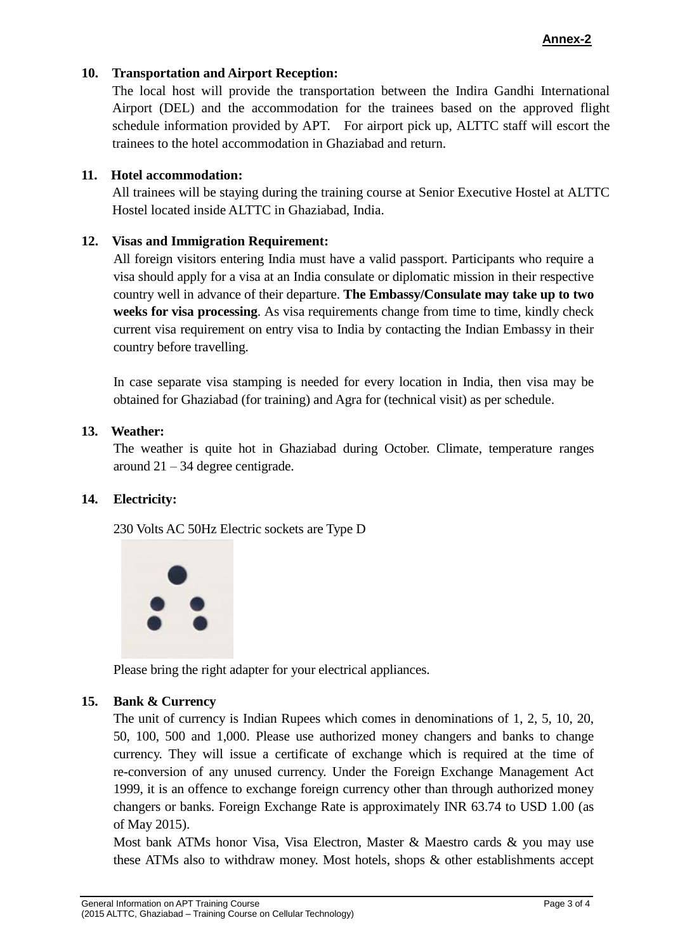### **Annex-2**

### **10. Transportation and Airport Reception:**

The local host will provide the transportation between the Indira Gandhi International Airport (DEL) and the accommodation for the trainees based on the approved flight schedule information provided by APT. For airport pick up, ALTTC staff will escort the trainees to the hotel accommodation in Ghaziabad and return.

### **11. Hotel accommodation:**

All trainees will be staying during the training course at Senior Executive Hostel at ALTTC Hostel located inside ALTTC in Ghaziabad, India.

### **12. Visas and Immigration Requirement:**

All foreign visitors entering India must have a valid passport. Participants who require a visa should apply for a visa at an India consulate or diplomatic mission in their respective country well in advance of their departure. **The Embassy/Consulate may take up to two weeks for visa processing**. As visa requirements change from time to time, kindly check current visa requirement on entry visa to India by contacting the Indian Embassy in their country before travelling.

In case separate visa stamping is needed for every location in India, then visa may be obtained for Ghaziabad (for training) and Agra for (technical visit) as per schedule.

### **13. Weather:**

The weather is quite hot in Ghaziabad during October. Climate, temperature ranges around  $21 - 34$  degree centigrade.

# **14. Electricity:**

230 Volts AC 50Hz Electric sockets are Type D



Please bring the right adapter for your electrical appliances.

### **15. Bank & Currency**

The unit of currency is Indian Rupees which comes in denominations of 1, 2, 5, 10, 20, 50, 100, 500 and 1,000. Please use authorized money changers and banks to change currency. They will issue a certificate of exchange which is required at the time of re-conversion of any unused currency. Under the Foreign Exchange Management Act 1999, it is an offence to exchange foreign currency other than through authorized money changers or banks. Foreign Exchange Rate is approximately INR 63.74 to USD 1.00 (as of May 2015).

Most bank ATMs honor Visa, Visa Electron, Master & Maestro cards & you may use these ATMs also to withdraw money. Most hotels, shops & other establishments accept